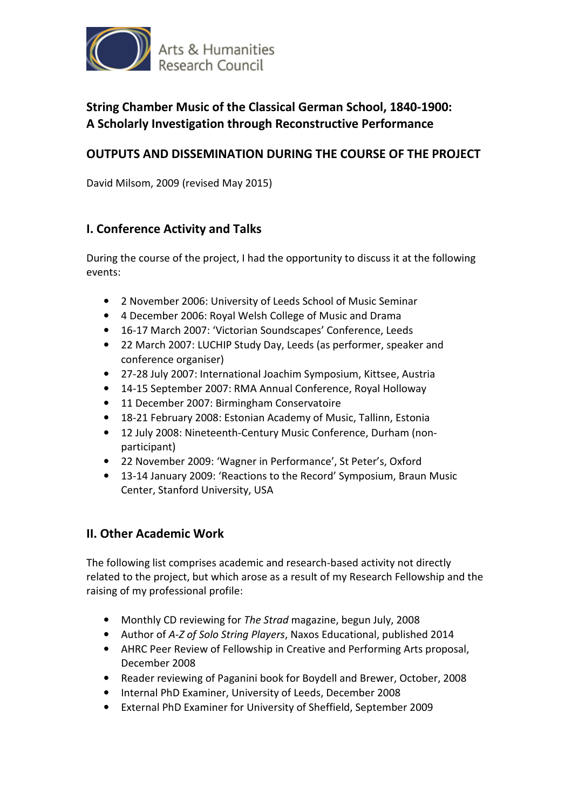

# **String Chamber Music of the Classical German School, 1840-1900: A Scholarly Investigation through Reconstructive Performance**

## **OUTPUTS AND DISSEMINATION DURING THE COURSE OF THE PROJECT**

David Milsom, 2009 (revised May 2015)

## **I. Conference Activity and Talks**

During the course of the project, I had the opportunity to discuss it at the following events:

- 2 November 2006: University of Leeds School of Music Seminar
- 4 December 2006: Royal Welsh College of Music and Drama
- 16-17 March 2007: 'Victorian Soundscapes' Conference, Leeds
- 22 March 2007: LUCHIP Study Day, Leeds (as performer, speaker and conference organiser)
- 27-28 July 2007: International Joachim Symposium, Kittsee, Austria
- 14-15 September 2007: RMA Annual Conference, Royal Holloway
- 11 December 2007: Birmingham Conservatoire
- 18-21 February 2008: Estonian Academy of Music, Tallinn, Estonia
- 12 July 2008: Nineteenth-Century Music Conference, Durham (nonparticipant)
- 22 November 2009: 'Wagner in Performance', St Peter's, Oxford
- 13-14 January 2009: 'Reactions to the Record' Symposium, Braun Music Center, Stanford University, USA

#### **II. Other Academic Work**

The following list comprises academic and research-based activity not directly related to the project, but which arose as a result of my Research Fellowship and the raising of my professional profile:

- Monthly CD reviewing for *The Strad* magazine, begun July, 2008
- Author of *A-Z of Solo String Players*, Naxos Educational, published 2014
- AHRC Peer Review of Fellowship in Creative and Performing Arts proposal, December 2008
- Reader reviewing of Paganini book for Boydell and Brewer, October, 2008
- Internal PhD Examiner, University of Leeds, December 2008
- External PhD Examiner for University of Sheffield, September 2009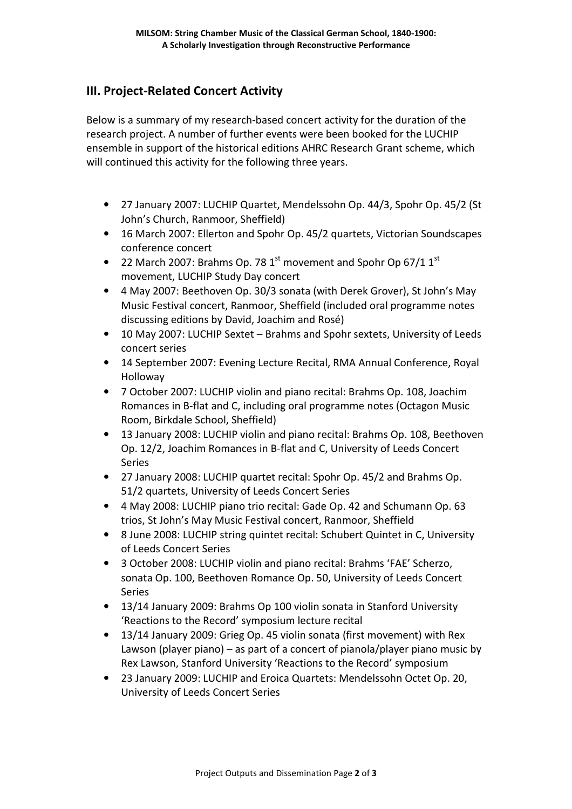## **III. Project-Related Concert Activity**

Below is a summary of my research-based concert activity for the duration of the research project. A number of further events were been booked for the LUCHIP ensemble in support of the historical editions AHRC Research Grant scheme, which will continued this activity for the following three years.

- 27 January 2007: LUCHIP Quartet, Mendelssohn Op. 44/3, Spohr Op. 45/2 (St John's Church, Ranmoor, Sheffield)
- 16 March 2007: Ellerton and Spohr Op. 45/2 quartets, Victorian Soundscapes conference concert
- 22 March 2007: Brahms Op. 78  $1<sup>st</sup>$  movement and Spohr Op 67/1  $1<sup>st</sup>$ movement, LUCHIP Study Day concert
- 4 May 2007: Beethoven Op. 30/3 sonata (with Derek Grover), St John's May Music Festival concert, Ranmoor, Sheffield (included oral programme notes discussing editions by David, Joachim and Rosé)
- 10 May 2007: LUCHIP Sextet Brahms and Spohr sextets, University of Leeds concert series
- 14 September 2007: Evening Lecture Recital, RMA Annual Conference, Royal Holloway
- 7 October 2007: LUCHIP violin and piano recital: Brahms Op. 108, Joachim Romances in B-flat and C, including oral programme notes (Octagon Music Room, Birkdale School, Sheffield)
- 13 January 2008: LUCHIP violin and piano recital: Brahms Op. 108, Beethoven Op. 12/2, Joachim Romances in B-flat and C, University of Leeds Concert Series
- 27 January 2008: LUCHIP quartet recital: Spohr Op. 45/2 and Brahms Op. 51/2 quartets, University of Leeds Concert Series
- 4 May 2008: LUCHIP piano trio recital: Gade Op. 42 and Schumann Op. 63 trios, St John's May Music Festival concert, Ranmoor, Sheffield
- 8 June 2008: LUCHIP string quintet recital: Schubert Quintet in C, University of Leeds Concert Series
- 3 October 2008: LUCHIP violin and piano recital: Brahms 'FAE' Scherzo, sonata Op. 100, Beethoven Romance Op. 50, University of Leeds Concert Series
- 13/14 January 2009: Brahms Op 100 violin sonata in Stanford University 'Reactions to the Record' symposium lecture recital
- 13/14 January 2009: Grieg Op. 45 violin sonata (first movement) with Rex Lawson (player piano) – as part of a concert of pianola/player piano music by Rex Lawson, Stanford University 'Reactions to the Record' symposium
- 23 January 2009: LUCHIP and Eroica Quartets: Mendelssohn Octet Op. 20, University of Leeds Concert Series